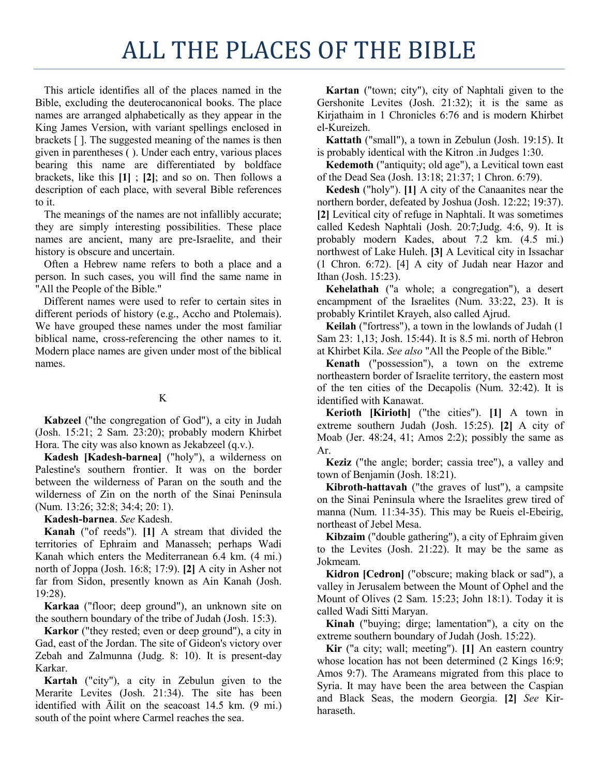## ALL THE PLACES OF THE BIBLE

This article identifies all of the places named in the Bible, excluding the deuterocanonical books. The place names are arranged alphabetically as they appear in the King James Version, with variant spellings enclosed in brackets [ ]. The suggested meaning of the names is then given in parentheses ( ). Under each entry, various places bearing this name are differentiated by boldface brackets, like this **[1]** ; **[2]**; and so on. Then follows a description of each place, with several Bible references to it.

The meanings of the names are not infallibly accurate; they are simply interesting possibilities. These place names are ancient, many are pre-Israelite, and their history is obscure and uncertain.

Often a Hebrew name refers to both a place and a person. In such cases, you will find the same name in "All the People of the Bible."

Different names were used to refer to certain sites in different periods of history (e.g., Accho and Ptolemais). We have grouped these names under the most familiar biblical name, cross-referencing the other names to it. Modern place names are given under most of the biblical names.

## K

**Kabzeel** ("the congregation of God"), a city in Judah (Josh. 15:21; 2 Sam. 23:20); probably modern Khirbet Hora. The city was also known as Jekabzeel (q.v.).

**Kadesh [Kadesh-barnea]** ("holy"), a wilderness on Palestine's southern frontier. It was on the border between the wilderness of Paran on the south and the wilderness of Zin on the north of the Sinai Peninsula (Num. 13:26; 32:8; 34:4; 20: 1).

**Kadesh-barnea**. *See* Kadesh.

**Kanah** ("of reeds"). **[1]** A stream that divided the territories of Ephraim and Manasseh; perhaps Wadi Kanah which enters the Mediterranean 6.4 km. (4 mi.) north of Joppa (Josh. 16:8; 17:9). **[2]** A city in Asher not far from Sidon, presently known as Ain Kanah (Josh. 19:28).

**Karkaa** ("floor; deep ground"), an unknown site on the southern boundary of the tribe of Judah (Josh. 15:3).

**Karkor** ("they rested; even or deep ground"), a city in Gad, east of the Jordan. The site of Gideon's victory over Zebah and Zalmunna (Judg. 8: 10). It is present-day Karkar.

**Kartah** ("city"), a city in Zebulun given to the Merarite Levites (Josh. 21:34). The site has been identified with Āilit on the seacoast 14.5 km. (9 mi.) south of the point where Carmel reaches the sea.

**Kartan** ("town; city"), city of Naphtali given to the Gershonite Levites (Josh. 21:32); it is the same as Kirjathaim in 1 Chronicles 6:76 and is modern Khirbet el-Kureizeh.

**Kattath** ("small"), a town in Zebulun (Josh. 19:15). It is probably identical with the Kitron .in Judges 1:30.

**Kedemoth** ("antiquity; old age"), a Levitical town east of the Dead Sea (Josh. 13:18; 21:37; 1 Chron. 6:79).

**Kedesh** ("holy"). **[1]** A city of the Canaanites near the northern border, defeated by Joshua (Josh. 12:22; 19:37). **[2]** Levitical city of refuge in Naphtali. It was sometimes called Kedesh Naphtali (Josh. 20:7;Judg. 4:6, 9). It is probably modern Kades, about 7.2 km. (4.5 mi.) northwest of Lake Huleh. **[3]** A Levitical city in Issachar (1 Chron. 6:72). [4] A city of Judah near Hazor and Ithan (Josh. 15:23).

**Kehelathah** ("a whole; a congregation"), a desert encampment of the Israelites (Num. 33:22, 23). It is probably Krintilet Krayeh, also called Ajrud.

**Keilah** ("fortress"), a town in the lowlands of Judah (1 Sam 23: 1,13; Josh. 15:44). It is 8.5 mi. north of Hebron at Khirbet Kila. *See also* "All the People of the Bible."

**Kenath** ("possession"), a town on the extreme northeastern border of Israelite territory, the eastern most of the ten cities of the Decapolis (Num. 32:42). It is identified with Kanawat.

**Kerioth [Kirioth]** ("the cities"). **[1]** A town in extreme southern Judah (Josh. 15:25). **[2]** A city of Moab (Jer. 48:24, 41; Amos 2:2); possibly the same as Ar.

**Keziz** ("the angle; border; cassia tree"), a valley and town of Benjamin (Josh. 18:21).

**Kibroth-hattavah** ("the graves of lust"), a campsite on the Sinai Peninsula where the Israelites grew tired of manna (Num. 11:34-35). This may be Rueis el-Ebeirig, northeast of Jebel Mesa.

**Kibzaim** ("double gathering"), a city of Ephraim given to the Levites (Josh. 21:22). It may be the same as Jokmeam.

**Kidron [Cedron]** ("obscure; making black or sad"), a valley in Jerusalem between the Mount of Ophel and the Mount of Olives (2 Sam. 15:23; John 18:1). Today it is called Wadi Sitti Maryan.

**Kinah** ("buying; dirge; lamentation"), a city on the extreme southern boundary of Judah (Josh. 15:22).

**Kir** ("a city; wall; meeting"). **[1]** An eastern country whose location has not been determined  $(2 \text{ Kings } 16:9;$ Amos 9:7). The Arameans migrated from this place to Syria. It may have been the area between the Caspian and Black Seas, the modern Georgia. **[2]** *See* Kirharaseth.